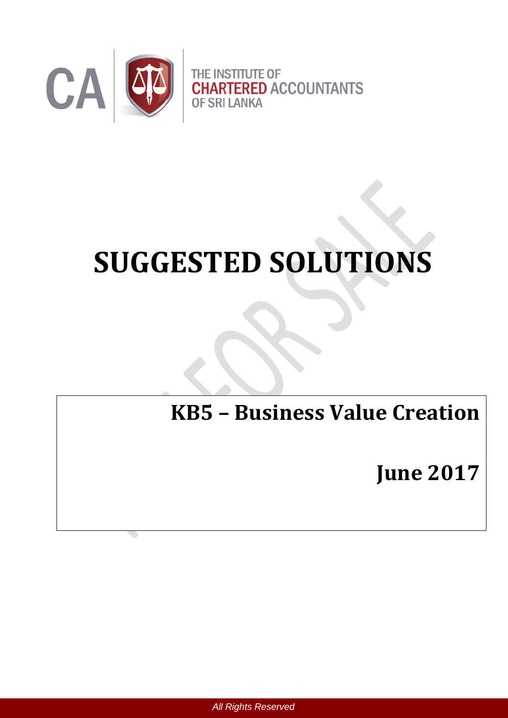

# **SUGGESTED SOLUTIONS**

# **KB5 – Business Value Creation**

**June 2017**

 *All Rights Reserved*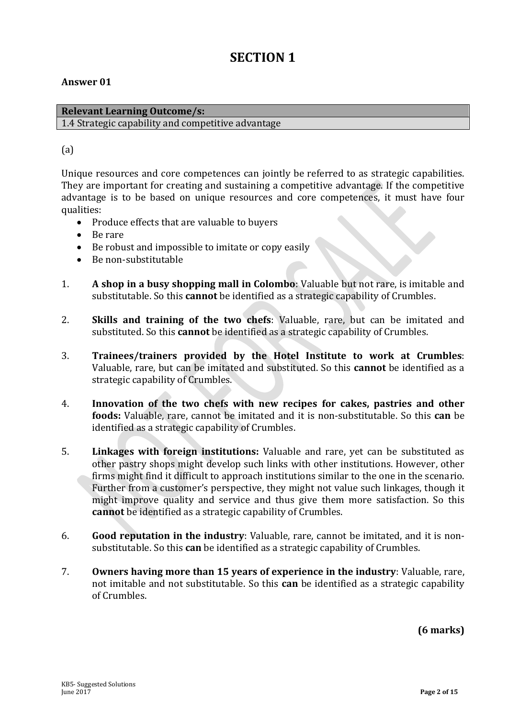# **SECTION 1**

# **Answer 01**

#### **Relevant Learning Outcome/s:** 1.4 Strategic capability and competitive advantage

# (a)

Unique resources and core competences can jointly be referred to as strategic capabilities. They are important for creating and sustaining a competitive advantage. If the competitive advantage is to be based on unique resources and core competences, it must have four qualities:

- Produce effects that are valuable to buyers
- Be rare
- Be robust and impossible to imitate or copy easily
- Be non-substitutable
- 1. **A shop in a busy shopping mall in Colombo**: Valuable but not rare, is imitable and substitutable. So this **cannot** be identified as a strategic capability of Crumbles.
- 2. **Skills and training of the two chefs**: Valuable, rare, but can be imitated and substituted. So this **cannot** be identified as a strategic capability of Crumbles.
- 3. **Trainees/trainers provided by the Hotel Institute to work at Crumbles**: Valuable, rare, but can be imitated and substituted. So this **cannot** be identified as a strategic capability of Crumbles.
- 4. **Innovation of the two chefs with new recipes for cakes, pastries and other foods:** Valuable, rare, cannot be imitated and it is non-substitutable. So this **can** be identified as a strategic capability of Crumbles.
- 5. **Linkages with foreign institutions:** Valuable and rare, yet can be substituted as other pastry shops might develop such links with other institutions. However, other firms might find it difficult to approach institutions similar to the one in the scenario. Further from a customer's perspective, they might not value such linkages, though it might improve quality and service and thus give them more satisfaction. So this **cannot** be identified as a strategic capability of Crumbles.
- 6. **Good reputation in the industry**: Valuable, rare, cannot be imitated, and it is nonsubstitutable. So this **can** be identified as a strategic capability of Crumbles.
- 7. **Owners having more than 15 years of experience in the industry**: Valuable, rare, not imitable and not substitutable. So this **can** be identified as a strategic capability of Crumbles.

**(6 marks)**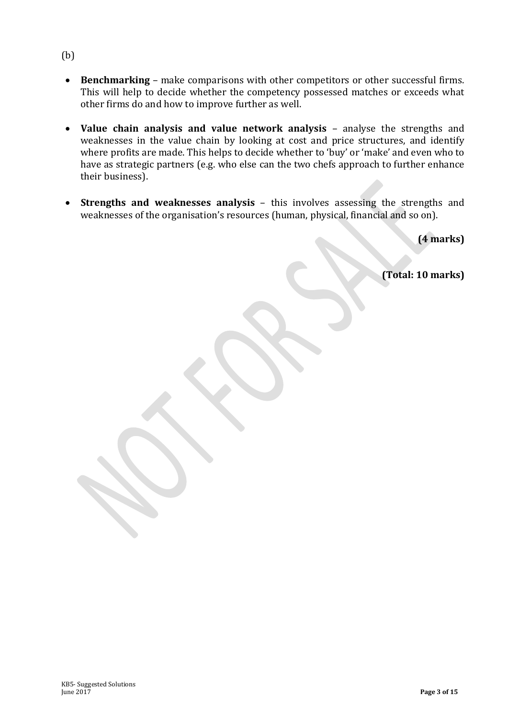- **Benchmarking** make comparisons with other competitors or other successful firms. This will help to decide whether the competency possessed matches or exceeds what other firms do and how to improve further as well.
- **Value chain analysis and value network analysis** analyse the strengths and weaknesses in the value chain by looking at cost and price structures, and identify where profits are made. This helps to decide whether to 'buy' or 'make' and even who to have as strategic partners (e.g. who else can the two chefs approach to further enhance their business).
- **Strengths and weaknesses analysis** this involves assessing the strengths and weaknesses of the organisation's resources (human, physical, financial and so on).

**(4 marks)**

**(Total: 10 marks)**

(b)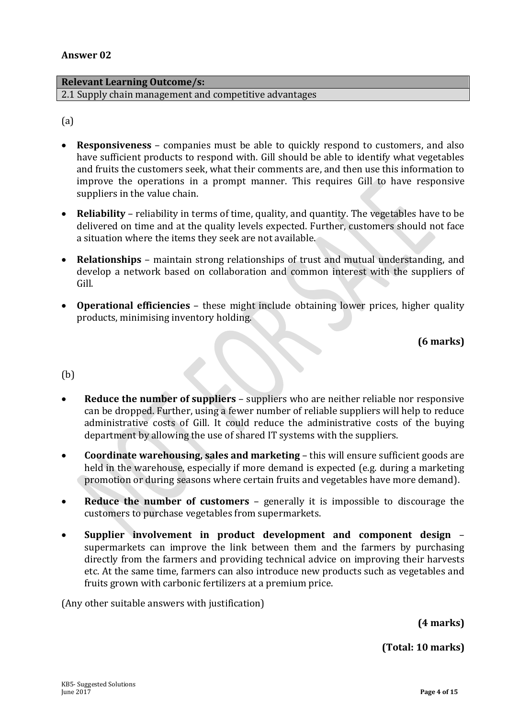#### **Relevant Learning Outcome/s:**

2.1 Supply chain management and competitive advantages

(a)

- **Responsiveness** companies must be able to quickly respond to customers, and also have sufficient products to respond with. Gill should be able to identify what vegetables and fruits the customers seek, what their comments are, and then use this information to improve the operations in a prompt manner. This requires Gill to have responsive suppliers in the value chain.
- **Reliability**  reliability in terms of time, quality, and quantity. The vegetables have to be delivered on time and at the quality levels expected. Further, customers should not face a situation where the items they seek are not available.
- **Relationships** maintain strong relationships of trust and mutual understanding, and develop a network based on collaboration and common interest with the suppliers of Gill.
- **Operational efficiencies** these might include obtaining lower prices, higher quality products, minimising inventory holding.

**(6 marks)**

(b)

- **Reduce the number of suppliers** suppliers who are neither reliable nor responsive can be dropped. Further, using a fewer number of reliable suppliers will help to reduce administrative costs of Gill. It could reduce the administrative costs of the buying department by allowing the use of shared IT systems with the suppliers.
- **Coordinate warehousing, sales and marketing** this will ensure sufficient goods are held in the warehouse, especially if more demand is expected (e.g. during a marketing promotion or during seasons where certain fruits and vegetables have more demand).
- **Reduce the number of customers** generally it is impossible to discourage the customers to purchase vegetables from supermarkets.
- **Supplier involvement in product development and component design** supermarkets can improve the link between them and the farmers by purchasing directly from the farmers and providing technical advice on improving their harvests etc. At the same time, farmers can also introduce new products such as vegetables and fruits grown with carbonic fertilizers at a premium price.

(Any other suitable answers with justification)

**(4 marks)**

**(Total: 10 marks)**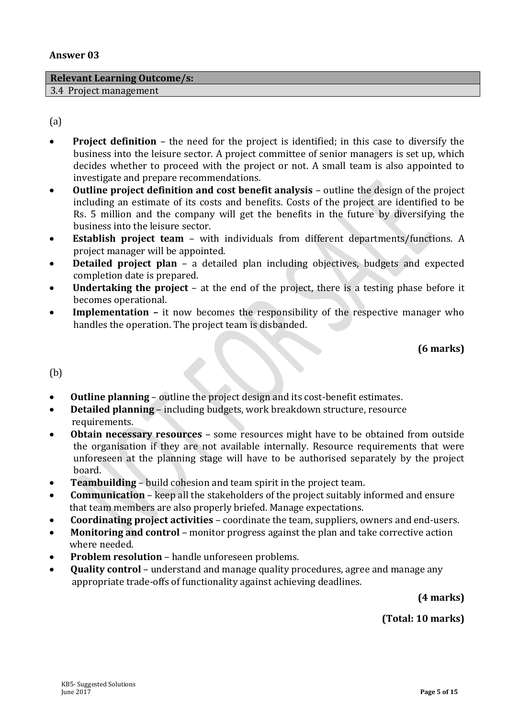#### **Relevant Learning Outcome/s:**

3.4 Project management

(a)

- **Project definition** the need for the project is identified; in this case to diversify the business into the leisure sector. A project committee of senior managers is set up, which decides whether to proceed with the project or not. A small team is also appointed to investigate and prepare recommendations.
- **Outline project definition and cost benefit analysis** outline the design of the project including an estimate of its costs and benefits. Costs of the project are identified to be Rs. 5 million and the company will get the benefits in the future by diversifying the business into the leisure sector.
- **Establish project team**  with individuals from different departments/functions. A project manager will be appointed.
- **Detailed project plan** a detailed plan including objectives, budgets and expected completion date is prepared.
- **Undertaking the project** at the end of the project, there is a testing phase before it becomes operational.
- Implementation it now becomes the responsibility of the respective manager who handles the operation. The project team is disbanded.

**(6 marks)**

(b)

- **Outline planning** outline the project design and its cost-benefit estimates.
- **Detailed planning** including budgets, work breakdown structure, resource requirements.
- **Obtain necessary resources** some resources might have to be obtained from outside the organisation if they are not available internally. Resource requirements that were unforeseen at the planning stage will have to be authorised separately by the project board.
- **Teambuilding**  build cohesion and team spirit in the project team.
- **Communication** keep all the stakeholders of the project suitably informed and ensure that team members are also properly briefed. Manage expectations.
- **Coordinating project activities** coordinate the team, suppliers, owners and end-users.
- **Monitoring and control** monitor progress against the plan and take corrective action where needed.
- **Problem resolution** handle unforeseen problems.
- **Quality control** understand and manage quality procedures, agree and manage any appropriate trade-offs of functionality against achieving deadlines.

**(4 marks)**

**(Total: 10 marks)**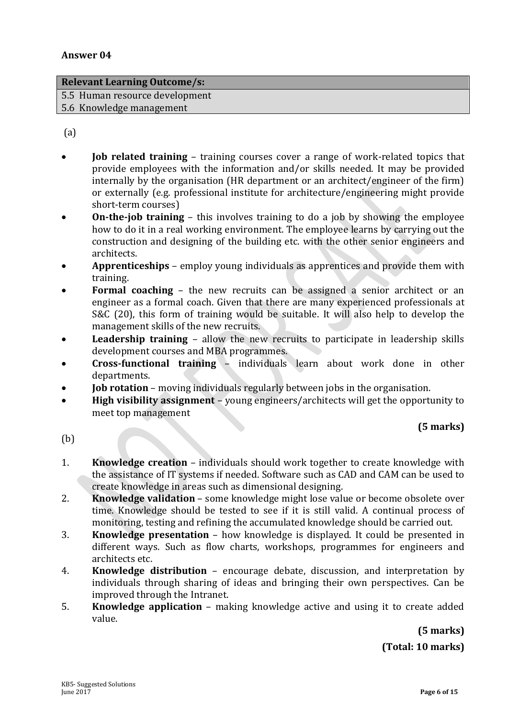#### **Relevant Learning Outcome/s:**

5.5 Human resource development

5.6 Knowledge management

(a)

- **Job related training** training courses cover a range of work-related topics that provide employees with the information and/or skills needed. It may be provided internally by the organisation (HR department or an architect/engineer of the firm) or externally (e.g. professional institute for architecture/engineering might provide short-term courses)
- **On-the-job training** this involves training to do a job by showing the employee how to do it in a real working environment. The employee learns by carrying out the construction and designing of the building etc. with the other senior engineers and architects.
- **Apprenticeships** employ young individuals as apprentices and provide them with training.
- **Formal coaching** the new recruits can be assigned a senior architect or an engineer as a formal coach. Given that there are many experienced professionals at S&C (20), this form of training would be suitable. It will also help to develop the management skills of the new recruits.
- **Leadership training**  allow the new recruits to participate in leadership skills development courses and MBA programmes.
- **Cross-functional training** individuals learn about work done in other departments.
- **Job rotation** moving individuals regularly between jobs in the organisation.
- **High visibility assignment** young engineers/architects will get the opportunity to meet top management

# **(5 marks)**

(b)

- 1. **Knowledge creation** individuals should work together to create knowledge with the assistance of IT systems if needed. Software such as CAD and CAM can be used to create knowledge in areas such as dimensional designing.
- 2. **Knowledge validation** some knowledge might lose value or become obsolete over time. Knowledge should be tested to see if it is still valid. A continual process of monitoring, testing and refining the accumulated knowledge should be carried out.
- 3. **Knowledge presentation** how knowledge is displayed. It could be presented in different ways. Such as flow charts, workshops, programmes for engineers and architects etc.
- 4. **Knowledge distribution** encourage debate, discussion, and interpretation by individuals through sharing of ideas and bringing their own perspectives. Can be improved through the Intranet.
- 5. **Knowledge application** making knowledge active and using it to create added value.

**(5 marks) (Total: 10 marks)**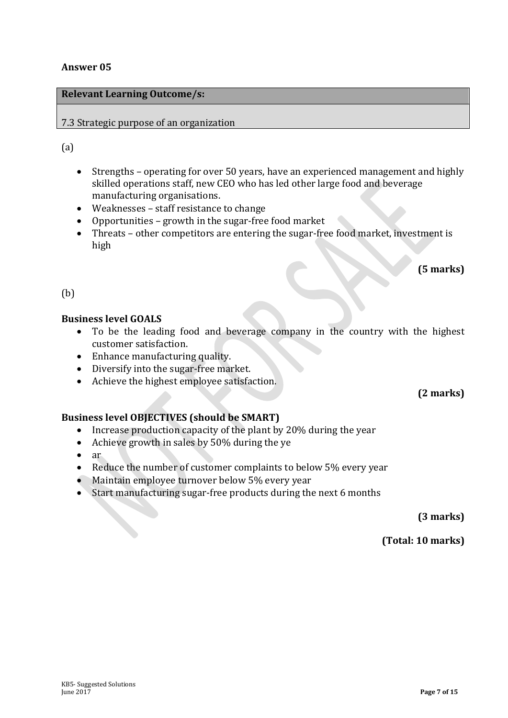# **Relevant Learning Outcome/s:**

# 7.3 Strategic purpose of an organization

# (a)

- Strengths operating for over 50 years, have an experienced management and highly skilled operations staff, new CEO who has led other large food and beverage manufacturing organisations.
- Weaknesses staff resistance to change
- Opportunities growth in the sugar-free food market
- Threats other competitors are entering the sugar-free food market, investment is high

# **(5 marks)**

# (b)

# **Business level GOALS**

- To be the leading food and beverage company in the country with the highest customer satisfaction.
- Enhance manufacturing quality.
- Diversify into the sugar-free market.
- Achieve the highest employee satisfaction.

# **(2 marks)**

# **Business level OBJECTIVES (should be SMART)**

- Increase production capacity of the plant by 20% during the year
- Achieve growth in sales by 50% during the ye
- $\bullet$  ar
- Reduce the number of customer complaints to below 5% every year
- Maintain employee turnover below 5% every year
- Start manufacturing sugar-free products during the next 6 months

**(3 marks)**

**(Total: 10 marks)**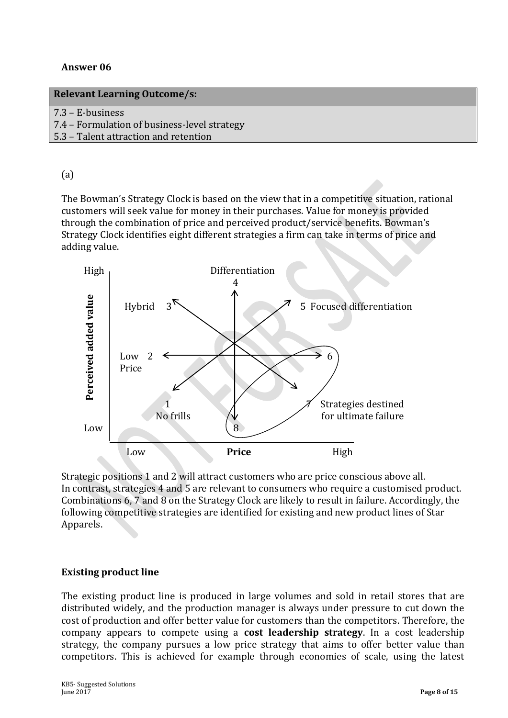| 7.3 - E-business |  |
|------------------|--|
|------------------|--|

7.4 – Formulation of business-level strategy

5.3 – Talent attraction and retention

# (a)

The Bowman's Strategy Clock is based on the view that in a competitive situation, rational customers will seek value for money in their purchases. Value for money is provided through the combination of price and perceived product/service benefits. Bowman's Strategy Clock identifies eight different strategies a firm can take in terms of price and adding value.



Strategic positions 1 and 2 will attract customers who are price conscious above all. In contrast, strategies 4 and 5 are relevant to consumers who require a customised product. Combinations 6, 7 and 8 on the Strategy Clock are likely to result in failure. Accordingly, the following competitive strategies are identified for existing and new product lines of Star Apparels.

# **Existing product line**

The existing product line is produced in large volumes and sold in retail stores that are distributed widely, and the production manager is always under pressure to cut down the cost of production and offer better value for customers than the competitors. Therefore, the company appears to compete using a **cost leadership strategy**. In a cost leadership strategy, the company pursues a low price strategy that aims to offer better value than competitors. This is achieved for example through economies of scale, using the latest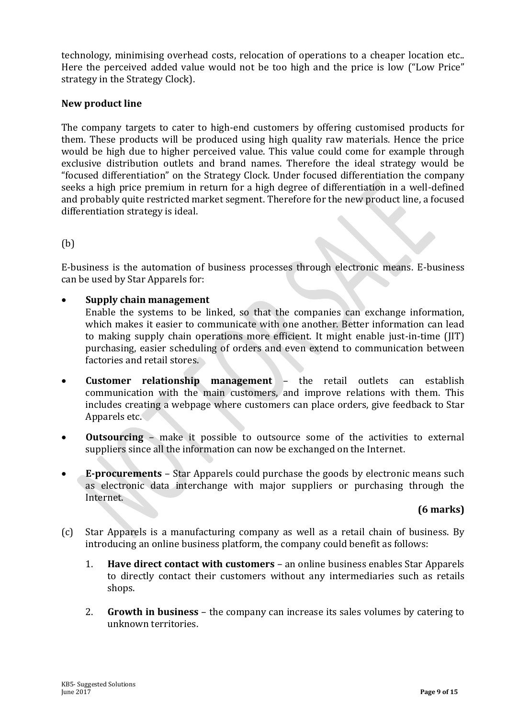technology, minimising overhead costs, relocation of operations to a cheaper location etc.. Here the perceived added value would not be too high and the price is low ("Low Price" strategy in the Strategy Clock).

#### **New product line**

The company targets to cater to high-end customers by offering customised products for them. These products will be produced using high quality raw materials. Hence the price would be high due to higher perceived value. This value could come for example through exclusive distribution outlets and brand names. Therefore the ideal strategy would be "focused differentiation" on the Strategy Clock. Under focused differentiation the company seeks a high price premium in return for a high degree of differentiation in a well-defined and probably quite restricted market segment. Therefore for the new product line, a focused differentiation strategy is ideal.

## (b)

E-business is the automation of business processes through electronic means. E-business can be used by Star Apparels for:

#### **Supply chain management**

- Enable the systems to be linked, so that the companies can exchange information, which makes it easier to communicate with one another. Better information can lead to making supply chain operations more efficient. It might enable just-in-time (JIT) purchasing, easier scheduling of orders and even extend to communication between factories and retail stores.
- **Customer relationship management** the retail outlets can establish communication with the main customers, and improve relations with them. This includes creating a webpage where customers can place orders, give feedback to Star Apparels etc.
- **Outsourcing** make it possible to outsource some of the activities to external suppliers since all the information can now be exchanged on the Internet.
- **E-procurements** Star Apparels could purchase the goods by electronic means such as electronic data interchange with major suppliers or purchasing through the Internet.

#### **(6 marks)**

- (c) Star Apparels is a manufacturing company as well as a retail chain of business. By introducing an online business platform, the company could benefit as follows:
	- 1. **Have direct contact with customers** an online business enables Star Apparels to directly contact their customers without any intermediaries such as retails shops.
	- 2. **Growth in business** the company can increase its sales volumes by catering to unknown territories.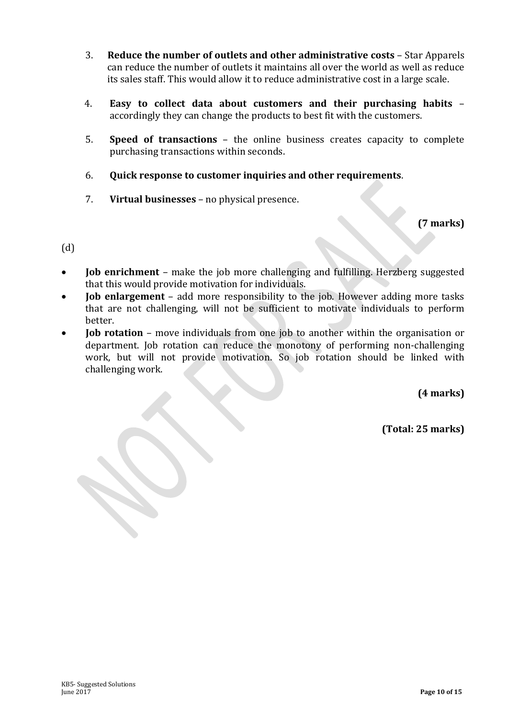- 3. **Reduce the number of outlets and other administrative costs** Star Apparels can reduce the number of outlets it maintains all over the world as well as reduce its sales staff. This would allow it to reduce administrative cost in a large scale.
- 4. **Easy to collect data about customers and their purchasing habits** accordingly they can change the products to best fit with the customers.
- 5. **Speed of transactions** the online business creates capacity to complete purchasing transactions within seconds.
- 6. **Quick response to customer inquiries and other requirements**.
- 7. **Virtual businesses** no physical presence.

**(7 marks)**

 $(d)$ 

- **Job enrichment** make the job more challenging and fulfilling. Herzberg suggested that this would provide motivation for individuals.
- **Job enlargement** add more responsibility to the job. However adding more tasks that are not challenging, will not be sufficient to motivate individuals to perform better.
- **Job rotation** move individuals from one job to another within the organisation or department. Job rotation can reduce the monotony of performing non-challenging work, but will not provide motivation. So job rotation should be linked with challenging work.

**(4 marks)**

**(Total: 25 marks)**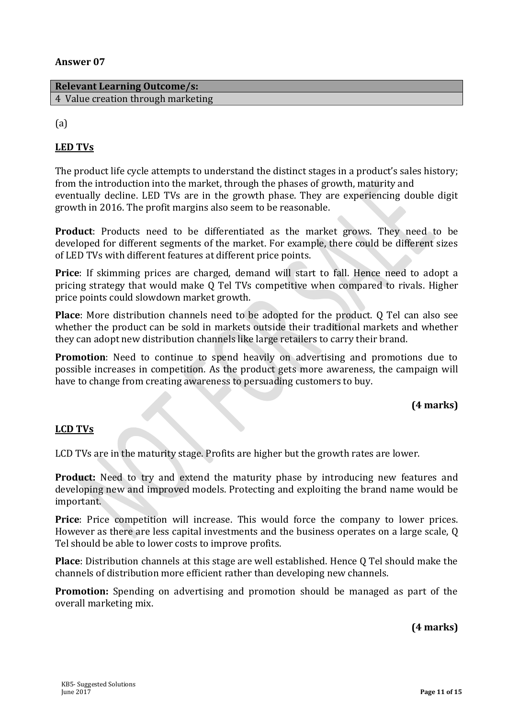#### **Relevant Learning Outcome/s:** 4 Value creation through marketing

(a)

# **LED TVs**

The product life cycle attempts to understand the distinct stages in a product's sales history; from the introduction into the market, through the phases of growth, maturity and eventually decline. LED TVs are in the growth phase. They are experiencing double digit growth in 2016. The profit margins also seem to be reasonable.

**Product**: Products need to be differentiated as the market grows. They need to be developed for different segments of the market. For example, there could be different sizes of LED TVs with different features at different price points.

**Price**: If skimming prices are charged, demand will start to fall. Hence need to adopt a pricing strategy that would make Q Tel TVs competitive when compared to rivals. Higher price points could slowdown market growth.

**Place**: More distribution channels need to be adopted for the product. Q Tel can also see whether the product can be sold in markets outside their traditional markets and whether they can adopt new distribution channels like large retailers to carry their brand.

**Promotion**: Need to continue to spend heavily on advertising and promotions due to possible increases in competition. As the product gets more awareness, the campaign will have to change from creating awareness to persuading customers to buy.

## **(4 marks)**

## **LCD TVs**

LCD TVs are in the maturity stage. Profits are higher but the growth rates are lower.

**Product:** Need to try and extend the maturity phase by introducing new features and developing new and improved models. Protecting and exploiting the brand name would be important.

**Price**: Price competition will increase. This would force the company to lower prices. However as there are less capital investments and the business operates on a large scale, Q Tel should be able to lower costs to improve profits.

**Place**: Distribution channels at this stage are well established. Hence Q Tel should make the channels of distribution more efficient rather than developing new channels.

**Promotion:** Spending on advertising and promotion should be managed as part of the overall marketing mix.

**(4 marks)**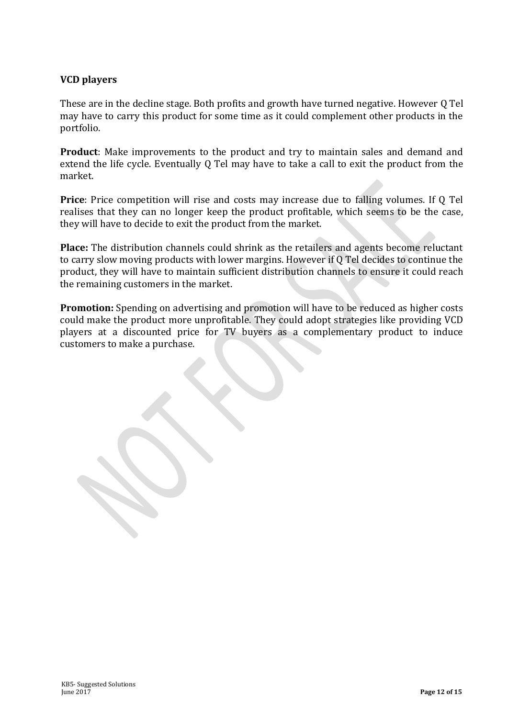# **VCD players**

These are in the decline stage. Both profits and growth have turned negative. However Q Tel may have to carry this product for some time as it could complement other products in the portfolio.

**Product**: Make improvements to the product and try to maintain sales and demand and extend the life cycle. Eventually Q Tel may have to take a call to exit the product from the market.

**Price**: Price competition will rise and costs may increase due to falling volumes. If Q Tel realises that they can no longer keep the product profitable, which seems to be the case, they will have to decide to exit the product from the market.

**Place:** The distribution channels could shrink as the retailers and agents become reluctant to carry slow moving products with lower margins. However if Q Tel decides to continue the product, they will have to maintain sufficient distribution channels to ensure it could reach the remaining customers in the market.

**Promotion:** Spending on advertising and promotion will have to be reduced as higher costs could make the product more unprofitable. They could adopt strategies like providing VCD players at a discounted price for TV buyers as a complementary product to induce customers to make a purchase.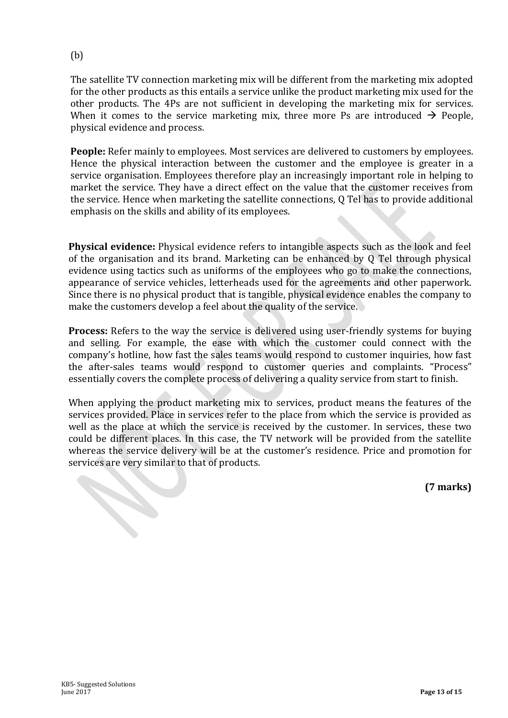# (b)

The satellite TV connection marketing mix will be different from the marketing mix adopted for the other products as this entails a service unlike the product marketing mix used for the other products. The 4Ps are not sufficient in developing the marketing mix for services. When it comes to the service marketing mix, three more Ps are introduced  $\rightarrow$  People, physical evidence and process.

**People:** Refer mainly to employees. Most services are delivered to customers by employees. Hence the physical interaction between the customer and the employee is greater in a service organisation. Employees therefore play an increasingly important role in helping to market the service. They have a direct effect on the value that the customer receives from the service. Hence when marketing the satellite connections, Q Tel has to provide additional emphasis on the skills and ability of its employees.

**Physical evidence:** Physical evidence refers to intangible aspects such as the look and feel of the organisation and its brand. Marketing can be enhanced by Q Tel through physical evidence using tactics such as uniforms of the employees who go to make the connections, appearance of service vehicles, letterheads used for the agreements and other paperwork. Since there is no physical product that is tangible, physical evidence enables the company to make the customers develop a feel about the quality of the service.

**Process:** Refers to the way the service is delivered using user-friendly systems for buying and selling. For example, the ease with which the customer could connect with the company's hotline, how fast the sales teams would respond to customer inquiries, how fast the after-sales teams would respond to customer queries and complaints. "Process" essentially covers the complete process of delivering a quality service from start to finish.

When applying the product marketing mix to services, product means the features of the services provided. Place in services refer to the place from which the service is provided as well as the place at which the service is received by the customer. In services, these two could be different places. In this case, the TV network will be provided from the satellite whereas the service delivery will be at the customer's residence. Price and promotion for services are very similar to that of products.

**(7 marks)**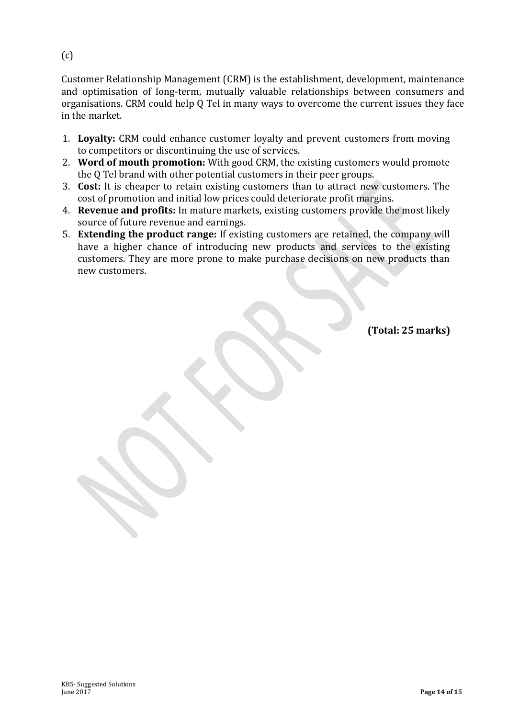(c)

Customer Relationship Management (CRM) is the establishment, development, maintenance and optimisation of long-term, mutually valuable relationships between consumers and organisations. CRM could help Q Tel in many ways to overcome the current issues they face in the market.

- 1. **Loyalty:** CRM could enhance customer loyalty and prevent customers from moving to competitors or discontinuing the use of services.
- 2. **Word of mouth promotion:** With good CRM, the existing customers would promote the Q Tel brand with other potential customers in their peer groups.
- 3. **Cost:** It is cheaper to retain existing customers than to attract new customers. The cost of promotion and initial low prices could deteriorate profit margins.
- 4. **Revenue and profits:** In mature markets, existing customers provide the most likely source of future revenue and earnings.
- 5. **Extending the product range:** If existing customers are retained, the company will have a higher chance of introducing new products and services to the existing customers. They are more prone to make purchase decisions on new products than new customers.

**(Total: 25 marks)**